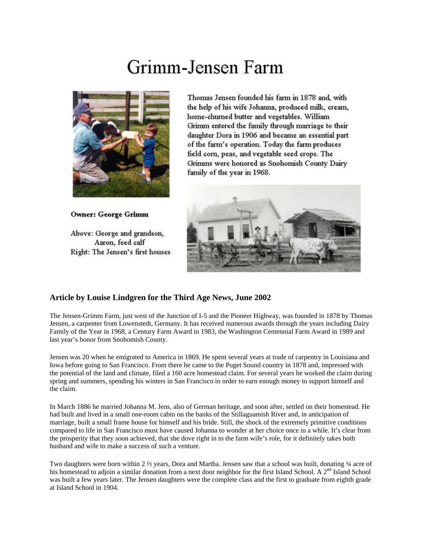## Grimm-Jensen Farm



**Owner: George Grimm** 

Above: George and grandson, Aaron, feed calf Right: The Jensen's first houses

Thomas Jensen founded his farm in 1878 and, with the help of his wife Johanna, produced milk, cream, home-churned butter and vegetables. William Grimm entered the family through marriage to their daughter Dora in 1906 and became an essential part of the farm's operation. Today the farm produces field corn, peas, and vegetable seed crops. The Grimms were honored as Snohomish County Dairy family of the year in 1968.



## **Article by Louise Lindgren for the Third Age News, June 2002**

The Jensen-Grimm Farm, just west of the Junction of I-5 and the Pioneer Highway, was founded in 1878 by Thomas Jensen, a carpenter from Lowenstedt, Germany. It has received numerous awards through the years including Dairy Family of the Year in 1968, a Century Farm Award in 1983, the Washington Centennial Farm Award in 1989 and last year's honor from Snohomish County.

Jensen was 20 when he emigrated to America in 1869. He spent several years at trade of carpentry in Louisiana and Iowa before going to San Francisco. From there he came to the Puget Sound country in 1878 and, impressed with the potential of the land and climate, filed a 160 acre homestead claim. For several years he worked the claim during spring and summers, spending his winters in San Francisco in order to earn enough money to support himself and the claim.

In March 1886 he married Johanna M. Jens, also of German heritage, and soon after, settled on their homestead. He had built and lived in a small one-room cabin on the banks of the Stillaguamish River and, in anticipation of marriage, built a small frame house for himself and his bride. Still, the shock of the extremely primitive conditions compared to life in San Francisco must have caused Johanna to wonder at her choice once in a while. It's clear from the prosperity that they soon achieved, that she dove right in to the farm wife's role, for it definitely takes both husband and wife to make a success of such a venture.

Two daughters were born within 2 ½ years, Dora and Martha. Jensen saw that a school was built, donating ¼ acre of his homestead to adjoin a similar donation from a next door neighbor for the first Island School. A 2<sup>nd</sup> Island School was built a few years later. The Jensen daughters were the complete class and the first to graduate from eighth grade at Island School in 1904.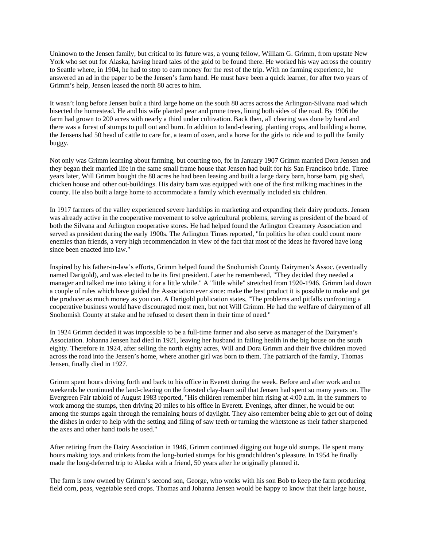Unknown to the Jensen family, but critical to its future was, a young fellow, William G. Grimm, from upstate New York who set out for Alaska, having heard tales of the gold to be found there. He worked his way across the country to Seattle where, in 1904, he had to stop to earn money for the rest of the trip. With no farming experience, he answered an ad in the paper to be the Jensen's farm hand. He must have been a quick learner, for after two years of Grimm's help, Jensen leased the north 80 acres to him.

It wasn't long before Jensen built a third large home on the south 80 acres across the Arlington-Silvana road which bisected the homestead. He and his wife planted pear and prune trees, lining both sides of the road. By 1906 the farm had grown to 200 acres with nearly a third under cultivation. Back then, all clearing was done by hand and there was a forest of stumps to pull out and burn. In addition to land-clearing, planting crops, and building a home, the Jensens had 50 head of cattle to care for, a team of oxen, and a horse for the girls to ride and to pull the family buggy.

Not only was Grimm learning about farming, but courting too, for in January 1907 Grimm married Dora Jensen and they began their married life in the same small frame house that Jensen had built for his San Francisco bride. Three years later, Will Grimm bought the 80 acres he had been leasing and built a large dairy barn, horse barn, pig shed, chicken house and other out-buildings. His dairy barn was equipped with one of the first milking machines in the county. He also built a large home to accommodate a family which eventually included six children.

In 1917 farmers of the valley experienced severe hardships in marketing and expanding their dairy products. Jensen was already active in the cooperative movement to solve agricultural problems, serving as president of the board of both the Silvana and Arlington cooperative stores. He had helped found the Arlington Creamery Association and served as president during the early 1900s. The Arlington Times reported, "In politics he often could count more enemies than friends, a very high recommendation in view of the fact that most of the ideas he favored have long since been enacted into law."

Inspired by his father-in-law's efforts, Grimm helped found the Snohomish County Dairymen's Assoc. (eventually named Darigold), and was elected to be its first president. Later he remembered, "They decided they needed a manager and talked me into taking it for a little while." A "little while" stretched from 1920-1946. Grimm laid down a couple of rules which have guided the Association ever since: make the best product it is possible to make and get the producer as much money as you can. A Darigold publication states, "The problems and pitfalls confronting a cooperative business would have discouraged most men, but not Will Grimm. He had the welfare of dairymen of all Snohomish County at stake and he refused to desert them in their time of need."

In 1924 Grimm decided it was impossible to be a full-time farmer and also serve as manager of the Dairymen's Association. Johanna Jensen had died in 1921, leaving her husband in failing health in the big house on the south eighty. Therefore in 1924, after selling the north eighty acres, Will and Dora Grimm and their five children moved across the road into the Jensen's home, where another girl was born to them. The patriarch of the family, Thomas Jensen, finally died in 1927.

Grimm spent hours driving forth and back to his office in Everett during the week. Before and after work and on weekends he continued the land-clearing on the forested clay-loam soil that Jensen had spent so many years on. The Evergreen Fair tabloid of August 1983 reported, "His children remember him rising at 4:00 a.m. in the summers to work among the stumps, then driving 20 miles to his office in Everett. Evenings, after dinner, he would be out among the stumps again through the remaining hours of daylight. They also remember being able to get out of doing the dishes in order to help with the setting and filing of saw teeth or turning the whetstone as their father sharpened the axes and other hand tools he used."

After retiring from the Dairy Association in 1946, Grimm continued digging out huge old stumps. He spent many hours making toys and trinkets from the long-buried stumps for his grandchildren's pleasure. In 1954 he finally made the long-deferred trip to Alaska with a friend, 50 years after he originally planned it.

The farm is now owned by Grimm's second son, George, who works with his son Bob to keep the farm producing field corn, peas, vegetable seed crops. Thomas and Johanna Jensen would be happy to know that their large house,